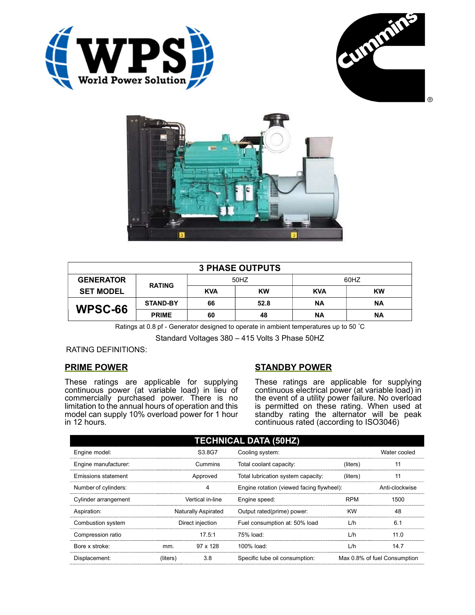





| <b>3 PHASE OUTPUTS</b> |                 |            |           |            |           |  |  |
|------------------------|-----------------|------------|-----------|------------|-----------|--|--|
| <b>GENERATOR</b>       | <b>RATING</b>   | 50HZ       |           | 60HZ       |           |  |  |
| <b>SET MODEL</b>       |                 | <b>KVA</b> | <b>KW</b> | <b>KVA</b> | <b>KW</b> |  |  |
| WPSC-66                | <b>STAND-BY</b> | 66         | 52.8      | <b>NA</b>  | <b>NA</b> |  |  |
|                        | <b>PRIME</b>    | 60         | 48        | ΝA         | <b>NA</b> |  |  |

Ratings at 0.8 pf - Generator designed to operate in ambient temperatures up to 50 °C

Standard Voltages 380 – 415 Volts 3 Phase 50HZ

# RATING DEFINITIONS:

# PRIME POWER

These ratings are applicable for supplying continuous power (at variable load) in lieu of commercially purchased power. There is no limitation to the annual hours of operation and this model can supply 10% overload power for 1 hour in 12 hours.

# STANDBY POWER

These ratings are applicable for supplying continuous electrical power (at variable load) in the event of a utility power failure. No overload is permitted on these rating. When used at standby rating the alternator will be peak continuous rated (according to ISO3046)

| <b>TECHNICAL DATA (50HZ)</b> |                            |                 |                                           |            |                              |  |  |
|------------------------------|----------------------------|-----------------|-------------------------------------------|------------|------------------------------|--|--|
| Engine model:                |                            | S3.8G7          | Cooling system:                           |            | Water cooled                 |  |  |
| Engine manufacturer:         | Cummins                    |                 | Total coolant capacity:                   | (liters)   | 11                           |  |  |
| Emissions statement          | Approved                   |                 | Total lubrication system capacity:        | (liters)   | 11                           |  |  |
| Number of cylinders:         | 4                          |                 | Engine rotation (viewed facing flywheel): |            | Anti-clockwise               |  |  |
| Cylinder arrangement         | Vertical in-line           |                 | Engine speed:                             | <b>RPM</b> | 1500                         |  |  |
| Aspiration:                  | <b>Naturally Aspirated</b> |                 | Output rated(prime) power:                | <b>KW</b>  | 48                           |  |  |
| Combustion system            | Direct injection           |                 | Fuel consumption at: 50% load             | L/h        | 6.1                          |  |  |
| Compression ratio            |                            | 17.5:1          | 75% load:                                 | L/h        | 11.0                         |  |  |
| Bore x stroke:               | mm.                        | $97 \times 128$ | $100\%$ load:                             | L/h        | 14.7                         |  |  |
| Displacement:                | (liters)                   | 3.8             | Specific lube oil consumption:            |            | Max 0.8% of fuel Consumption |  |  |